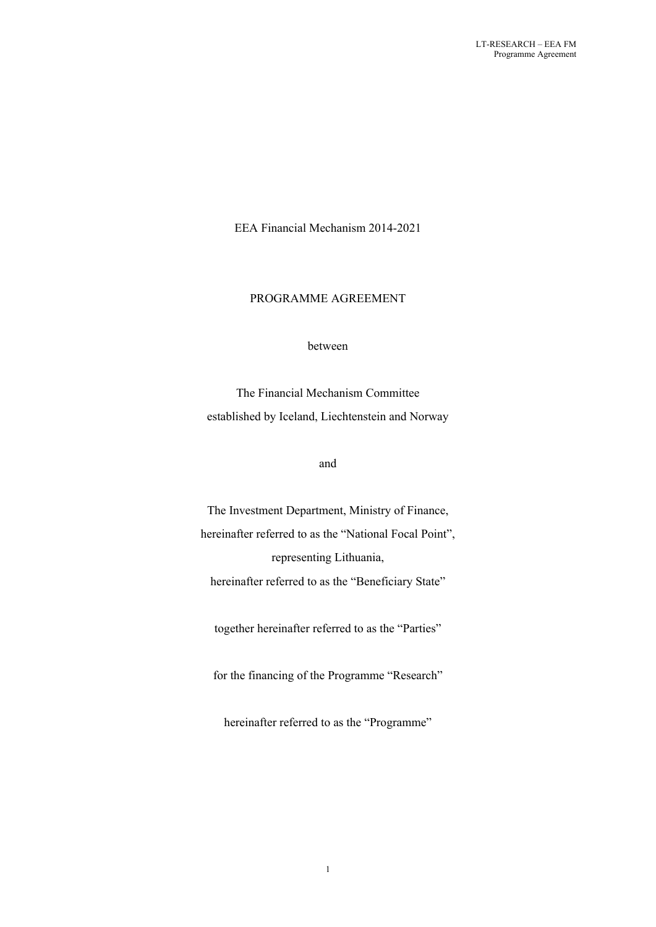EEA Financial Mechanism 2014-2021

# PROGRAMME AGREEMENT

#### between

The Financial Mechanism Committee established by Iceland, Liechtenstein and Norway

### and

The Investment Department, Ministry of Finance, hereinafter referred to as the "National Focal Point", representing Lithuania, hereinafter referred to as the "Beneficiary State"

together hereinafter referred to as the "Parties"

for the financing of the Programme "Research"

hereinafter referred to as the "Programme"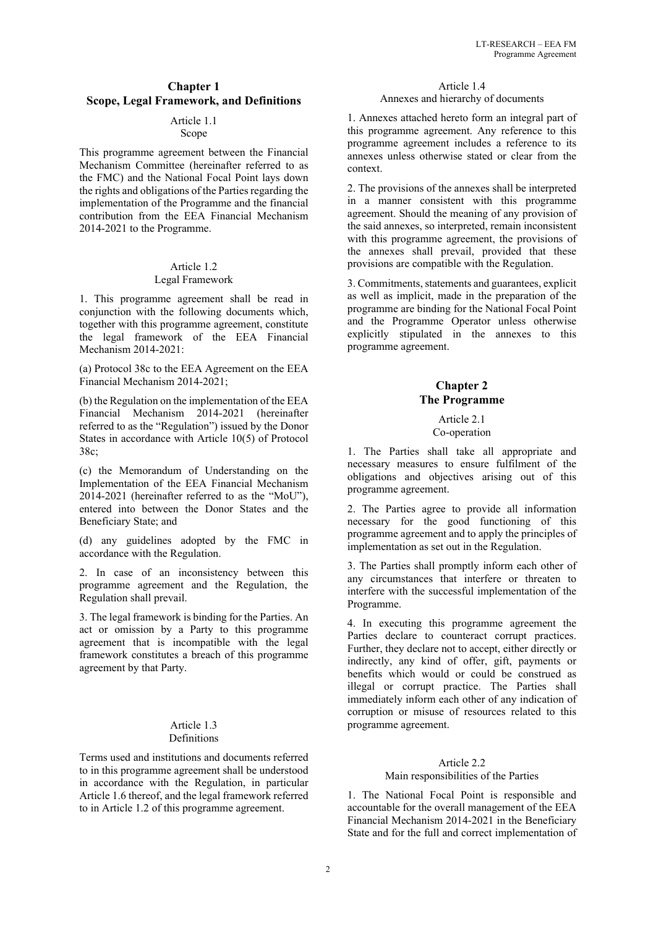# **Chapter 1 Scope, Legal Framework, and Definitions**

# Article 1.1

Scope This programme agreement between the Financial Mechanism Committee (hereinafter referred to as the FMC) and the National Focal Point lays down

the rights and obligations of the Parties regarding the implementation of the Programme and the financial contribution from the EEA Financial Mechanism 2014-2021 to the Programme.

### Article 1.2 Legal Framework

1. This programme agreement shall be read in conjunction with the following documents which, together with this programme agreement, constitute the legal framework of the EEA Financial Mechanism 2014-2021:

(a) Protocol 38c to the EEA Agreement on the EEA Financial Mechanism 2014-2021;

(b) the Regulation on the implementation of the EEA Financial Mechanism 2014-2021 (hereinafter referred to as the "Regulation") issued by the Donor States in accordance with Article 10(5) of Protocol 38c;

(c) the Memorandum of Understanding on the Implementation of the EEA Financial Mechanism 2014-2021 (hereinafter referred to as the "MoU"), entered into between the Donor States and the Beneficiary State; and

(d) any guidelines adopted by the FMC in accordance with the Regulation.

2. In case of an inconsistency between this programme agreement and the Regulation, the Regulation shall prevail.

3. The legal framework is binding for the Parties. An act or omission by a Party to this programme agreement that is incompatible with the legal framework constitutes a breach of this programme agreement by that Party.

### Article 1.3 Definitions

Terms used and institutions and documents referred to in this programme agreement shall be understood in accordance with the Regulation, in particular Article 1.6 thereof, and the legal framework referred to in Article 1.2 of this programme agreement.

#### Article 1.4 Annexes and hierarchy of documents

1. Annexes attached hereto form an integral part of this programme agreement. Any reference to this programme agreement includes a reference to its annexes unless otherwise stated or clear from the context.

2. The provisions of the annexes shall be interpreted in a manner consistent with this programme agreement. Should the meaning of any provision of the said annexes, so interpreted, remain inconsistent with this programme agreement, the provisions of the annexes shall prevail, provided that these provisions are compatible with the Regulation.

3. Commitments, statements and guarantees, explicit as well as implicit, made in the preparation of the programme are binding for the National Focal Point and the Programme Operator unless otherwise explicitly stipulated in the annexes to this programme agreement.

# **Chapter 2 The Programme**

#### Article 2.1 Co-operation

1. The Parties shall take all appropriate and necessary measures to ensure fulfilment of the obligations and objectives arising out of this programme agreement.

2. The Parties agree to provide all information necessary for the good functioning of this programme agreement and to apply the principles of implementation as set out in the Regulation.

3. The Parties shall promptly inform each other of any circumstances that interfere or threaten to interfere with the successful implementation of the Programme.

4. In executing this programme agreement the Parties declare to counteract corrupt practices. Further, they declare not to accept, either directly or indirectly, any kind of offer, gift, payments or benefits which would or could be construed as illegal or corrupt practice. The Parties shall immediately inform each other of any indication of corruption or misuse of resources related to this programme agreement.

### Article 2.2

### Main responsibilities of the Parties

1. The National Focal Point is responsible and accountable for the overall management of the EEA Financial Mechanism 2014-2021 in the Beneficiary State and for the full and correct implementation of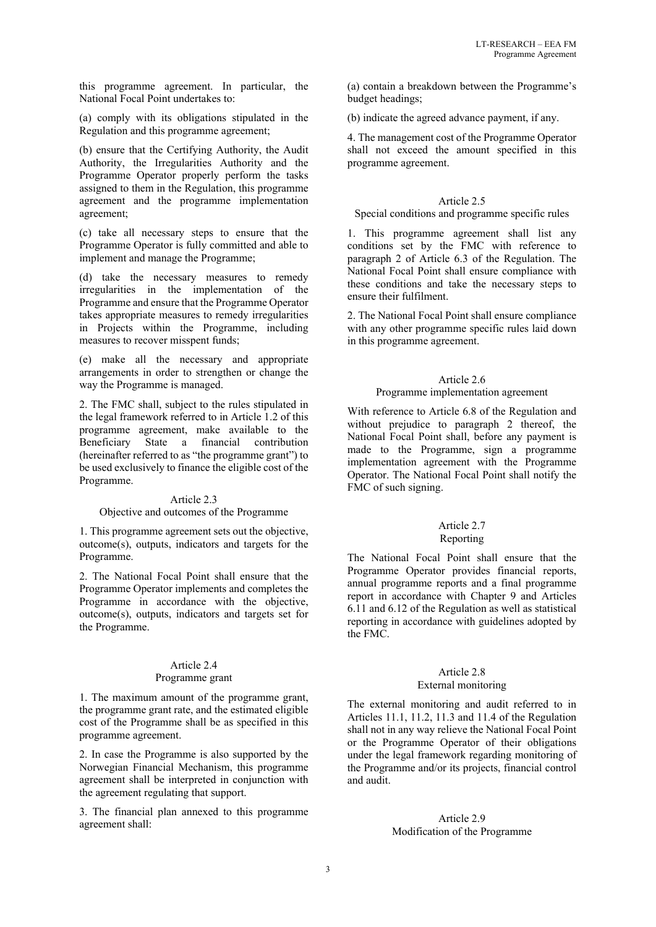this programme agreement. In particular, the National Focal Point undertakes to:

(a) comply with its obligations stipulated in the Regulation and this programme agreement;

(b) ensure that the Certifying Authority, the Audit Authority, the Irregularities Authority and the Programme Operator properly perform the tasks assigned to them in the Regulation, this programme agreement and the programme implementation agreement;

(c) take all necessary steps to ensure that the Programme Operator is fully committed and able to implement and manage the Programme;

(d) take the necessary measures to remedy irregularities in the implementation of the Programme and ensure that the Programme Operator takes appropriate measures to remedy irregularities in Projects within the Programme, including measures to recover misspent funds;

(e) make all the necessary and appropriate arrangements in order to strengthen or change the way the Programme is managed.

2. The FMC shall, subject to the rules stipulated in the legal framework referred to in Article 1.2 of this programme agreement, make available to the Beneficiary State a financial contribution (hereinafter referred to as "the programme grant") to be used exclusively to finance the eligible cost of the Programme.

#### Article 2.3

### Objective and outcomes of the Programme

1. This programme agreement sets out the objective, outcome(s), outputs, indicators and targets for the Programme.

2. The National Focal Point shall ensure that the Programme Operator implements and completes the Programme in accordance with the objective, outcome(s), outputs, indicators and targets set for the Programme.

### Article 2.4

### Programme grant

1. The maximum amount of the programme grant, the programme grant rate, and the estimated eligible cost of the Programme shall be as specified in this programme agreement.

2. In case the Programme is also supported by the Norwegian Financial Mechanism, this programme agreement shall be interpreted in conjunction with the agreement regulating that support.

3. The financial plan annexed to this programme agreement shall:

(a) contain a breakdown between the Programme's budget headings;

(b) indicate the agreed advance payment, if any.

4. The management cost of the Programme Operator shall not exceed the amount specified in this programme agreement.

### Article 2.5

#### Special conditions and programme specific rules

1. This programme agreement shall list any conditions set by the FMC with reference to paragraph 2 of Article 6.3 of the Regulation. The National Focal Point shall ensure compliance with these conditions and take the necessary steps to ensure their fulfilment.

2. The National Focal Point shall ensure compliance with any other programme specific rules laid down in this programme agreement.

### Article 2.6

### Programme implementation agreement

With reference to Article 6.8 of the Regulation and without prejudice to paragraph 2 thereof, the National Focal Point shall, before any payment is made to the Programme, sign a programme implementation agreement with the Programme Operator. The National Focal Point shall notify the FMC of such signing.

#### Article 2.7 Reporting

The National Focal Point shall ensure that the Programme Operator provides financial reports, annual programme reports and a final programme report in accordance with Chapter 9 and Articles 6.11 and 6.12 of the Regulation as well as statistical reporting in accordance with guidelines adopted by the FMC.

# Article 2.8

### External monitoring

The external monitoring and audit referred to in Articles 11.1, 11.2, 11.3 and 11.4 of the Regulation shall not in any way relieve the National Focal Point or the Programme Operator of their obligations under the legal framework regarding monitoring of the Programme and/or its projects, financial control and audit.

### Article 2.9 Modification of the Programme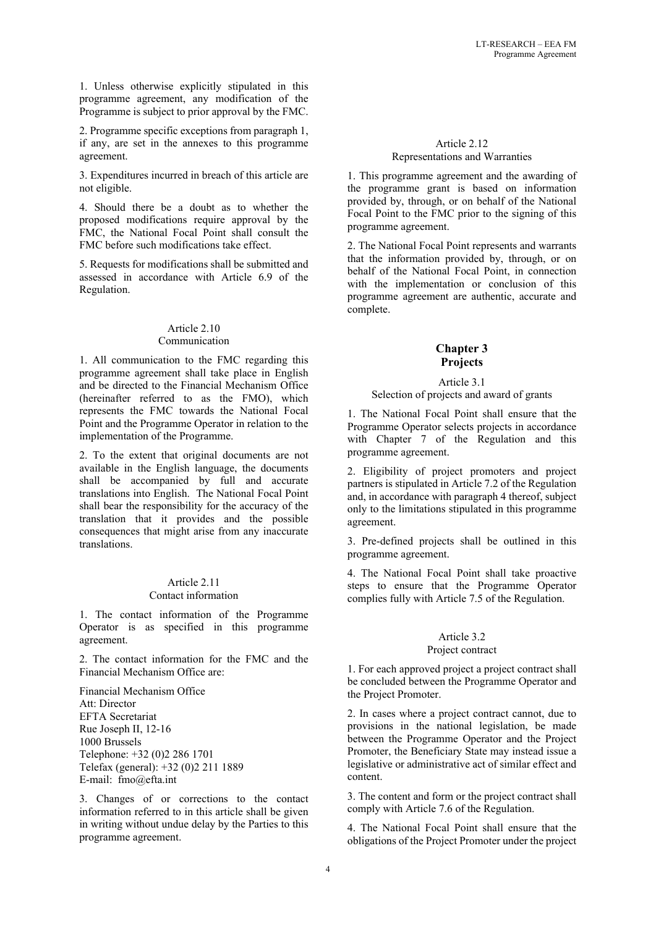1. Unless otherwise explicitly stipulated in this programme agreement, any modification of the Programme is subject to prior approval by the FMC.

2. Programme specific exceptions from paragraph 1, if any, are set in the annexes to this programme agreement.

3. Expenditures incurred in breach of this article are not eligible.

4. Should there be a doubt as to whether the proposed modifications require approval by the FMC, the National Focal Point shall consult the FMC before such modifications take effect.

5. Requests for modifications shall be submitted and assessed in accordance with Article 6.9 of the Regulation.

#### Article 2.10 Communication

1. All communication to the FMC regarding this programme agreement shall take place in English and be directed to the Financial Mechanism Office (hereinafter referred to as the FMO), which represents the FMC towards the National Focal Point and the Programme Operator in relation to the implementation of the Programme.

2. To the extent that original documents are not available in the English language, the documents shall be accompanied by full and accurate translations into English. The National Focal Point shall bear the responsibility for the accuracy of the translation that it provides and the possible consequences that might arise from any inaccurate translations.

#### Article 2.11 Contact information

1. The contact information of the Programme Operator is as specified in this programme agreement.

2. The contact information for the FMC and the Financial Mechanism Office are:

Financial Mechanism Office Att: Director EFTA Secretariat Rue Joseph II, 12-16 1000 Brussels Telephone: +32 (0)2 286 1701 Telefax (general): +32 (0)2 211 1889 E-mail: fmo@efta.int

3. Changes of or corrections to the contact information referred to in this article shall be given in writing without undue delay by the Parties to this programme agreement.

# Article 2.12 Representations and Warranties

1. This programme agreement and the awarding of the programme grant is based on information provided by, through, or on behalf of the National Focal Point to the FMC prior to the signing of this programme agreement.

2. The National Focal Point represents and warrants that the information provided by, through, or on behalf of the National Focal Point, in connection with the implementation or conclusion of this programme agreement are authentic, accurate and complete.

# **Chapter 3 Projects**

#### Article 3.1 Selection of projects and award of grants

1. The National Focal Point shall ensure that the Programme Operator selects projects in accordance with Chapter 7 of the Regulation and this programme agreement.

2. Eligibility of project promoters and project partners is stipulated in Article 7.2 of the Regulation and, in accordance with paragraph 4 thereof, subject only to the limitations stipulated in this programme agreement.

3. Pre-defined projects shall be outlined in this programme agreement.

4. The National Focal Point shall take proactive steps to ensure that the Programme Operator complies fully with Article 7.5 of the Regulation.

### Article 3.2 Project contract

1. For each approved project a project contract shall be concluded between the Programme Operator and the Project Promoter.

2. In cases where a project contract cannot, due to provisions in the national legislation, be made between the Programme Operator and the Project Promoter, the Beneficiary State may instead issue a legislative or administrative act of similar effect and content.

3. The content and form or the project contract shall comply with Article 7.6 of the Regulation.

4. The National Focal Point shall ensure that the obligations of the Project Promoter under the project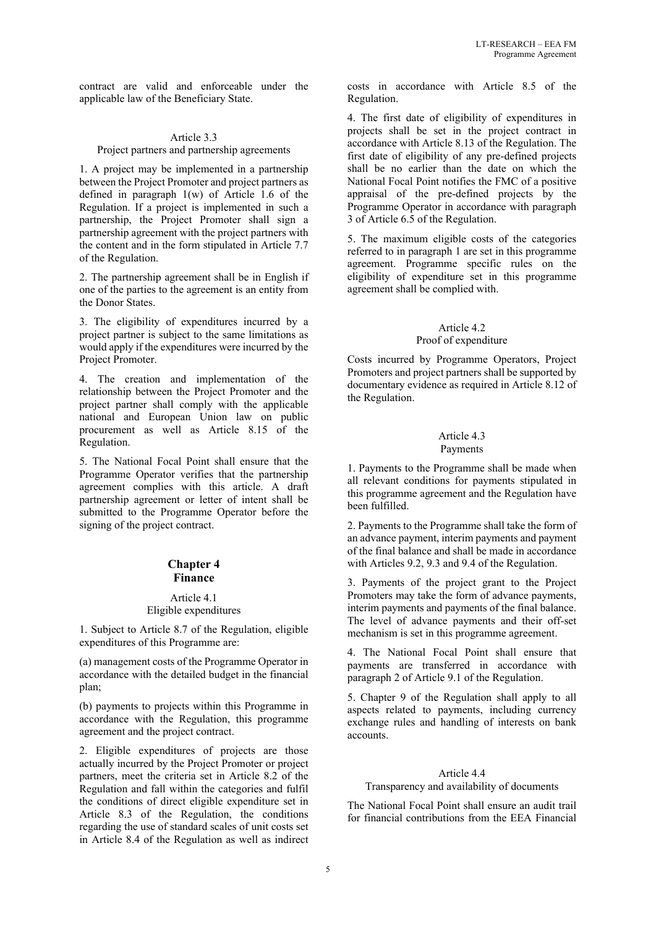contract are valid and enforceable under the applicable law of the Beneficiary State.

#### Article 3.3 Project partners and partnership agreements

1. A project may be implemented in a partnership between the Project Promoter and project partners as defined in paragraph 1(w) of Article 1.6 of the Regulation. If a project is implemented in such a partnership, the Project Promoter shall sign a partnership agreement with the project partners with the content and in the form stipulated in Article 7.7 of the Regulation.

2. The partnership agreement shall be in English if one of the parties to the agreement is an entity from the Donor States.

3. The eligibility of expenditures incurred by a project partner is subject to the same limitations as would apply if the expenditures were incurred by the Project Promoter.

4. The creation and implementation of the relationship between the Project Promoter and the project partner shall comply with the applicable national and European Union law on public procurement as well as Article 8.15 of the Regulation.

5. The National Focal Point shall ensure that the Programme Operator verifies that the partnership agreement complies with this article. A draft partnership agreement or letter of intent shall be submitted to the Programme Operator before the signing of the project contract.

# **Chapter 4 Finance**

#### Article 4.1 Eligible expenditures

1. Subject to Article 8.7 of the Regulation, eligible expenditures of this Programme are:

(a) management costs of the Programme Operator in accordance with the detailed budget in the financial plan;

(b) payments to projects within this Programme in accordance with the Regulation, this programme agreement and the project contract.

2. Eligible expenditures of projects are those actually incurred by the Project Promoter or project partners, meet the criteria set in Article 8.2 of the Regulation and fall within the categories and fulfil the conditions of direct eligible expenditure set in Article 8.3 of the Regulation, the conditions regarding the use of standard scales of unit costs set in Article 8.4 of the Regulation as well as indirect costs in accordance with Article 8.5 of the Regulation.

4. The first date of eligibility of expenditures in projects shall be set in the project contract in accordance with Article 8.13 of the Regulation. The first date of eligibility of any pre-defined projects shall be no earlier than the date on which the National Focal Point notifies the FMC of a positive appraisal of the pre-defined projects by the Programme Operator in accordance with paragraph 3 of Article 6.5 of the Regulation.

5. The maximum eligible costs of the categories referred to in paragraph 1 are set in this programme agreement. Programme specific rules on the eligibility of expenditure set in this programme agreement shall be complied with.

### Article 4.2 Proof of expenditure

Costs incurred by Programme Operators, Project Promoters and project partners shall be supported by documentary evidence as required in Article 8.12 of the Regulation.

### Article 4.3 Payments

1. Payments to the Programme shall be made when all relevant conditions for payments stipulated in this programme agreement and the Regulation have been fulfilled.

2. Payments to the Programme shall take the form of an advance payment, interim payments and payment of the final balance and shall be made in accordance with Articles 9.2, 9.3 and 9.4 of the Regulation.

3. Payments of the project grant to the Project Promoters may take the form of advance payments, interim payments and payments of the final balance. The level of advance payments and their off-set mechanism is set in this programme agreement.

4. The National Focal Point shall ensure that payments are transferred in accordance with paragraph 2 of Article 9.1 of the Regulation.

5. Chapter 9 of the Regulation shall apply to all aspects related to payments, including currency exchange rules and handling of interests on bank accounts.

# Article 4.4

### Transparency and availability of documents

The National Focal Point shall ensure an audit trail for financial contributions from the EEA Financial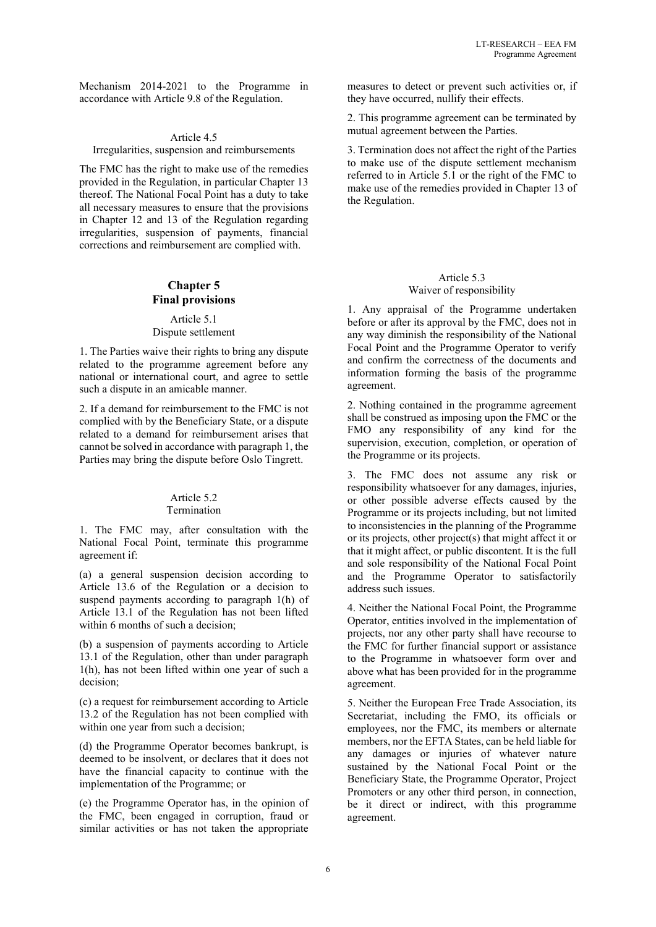Mechanism 2014-2021 to the Programme in accordance with Article 9.8 of the Regulation.

#### Article 4.5

#### Irregularities, suspension and reimbursements

The FMC has the right to make use of the remedies provided in the Regulation, in particular Chapter 13 thereof. The National Focal Point has a duty to take all necessary measures to ensure that the provisions in Chapter 12 and 13 of the Regulation regarding irregularities, suspension of payments, financial corrections and reimbursement are complied with.

### **Chapter 5 Final provisions**

#### Article 5.1 Dispute settlement

1. The Parties waive their rights to bring any dispute related to the programme agreement before any national or international court, and agree to settle such a dispute in an amicable manner.

2. If a demand for reimbursement to the FMC is not complied with by the Beneficiary State, or a dispute related to a demand for reimbursement arises that cannot be solved in accordance with paragraph 1, the Parties may bring the dispute before Oslo Tingrett.

#### Article 5.2 Termination

1. The FMC may, after consultation with the National Focal Point, terminate this programme agreement if:

(a) a general suspension decision according to Article 13.6 of the Regulation or a decision to suspend payments according to paragraph 1(h) of Article 13.1 of the Regulation has not been lifted within 6 months of such a decision;

(b) a suspension of payments according to Article 13.1 of the Regulation, other than under paragraph 1(h), has not been lifted within one year of such a decision;

(c) a request for reimbursement according to Article 13.2 of the Regulation has not been complied with within one year from such a decision;

(d) the Programme Operator becomes bankrupt, is deemed to be insolvent, or declares that it does not have the financial capacity to continue with the implementation of the Programme; or

(e) the Programme Operator has, in the opinion of the FMC, been engaged in corruption, fraud or similar activities or has not taken the appropriate

measures to detect or prevent such activities or, if they have occurred, nullify their effects.

2. This programme agreement can be terminated by mutual agreement between the Parties.

3. Termination does not affect the right of the Parties to make use of the dispute settlement mechanism referred to in Article 5.1 or the right of the FMC to make use of the remedies provided in Chapter 13 of the Regulation.

# Article 5.3

#### Waiver of responsibility

1. Any appraisal of the Programme undertaken before or after its approval by the FMC, does not in any way diminish the responsibility of the National Focal Point and the Programme Operator to verify and confirm the correctness of the documents and information forming the basis of the programme agreement.

2. Nothing contained in the programme agreement shall be construed as imposing upon the FMC or the FMO any responsibility of any kind for the supervision, execution, completion, or operation of the Programme or its projects.

3. The FMC does not assume any risk or responsibility whatsoever for any damages, injuries, or other possible adverse effects caused by the Programme or its projects including, but not limited to inconsistencies in the planning of the Programme or its projects, other project(s) that might affect it or that it might affect, or public discontent. It is the full and sole responsibility of the National Focal Point and the Programme Operator to satisfactorily address such issues.

4. Neither the National Focal Point, the Programme Operator, entities involved in the implementation of projects, nor any other party shall have recourse to the FMC for further financial support or assistance to the Programme in whatsoever form over and above what has been provided for in the programme agreement.

5. Neither the European Free Trade Association, its Secretariat, including the FMO, its officials or employees, nor the FMC, its members or alternate members, nor the EFTA States, can be held liable for any damages or injuries of whatever nature sustained by the National Focal Point or the Beneficiary State, the Programme Operator, Project Promoters or any other third person, in connection, be it direct or indirect, with this programme agreement.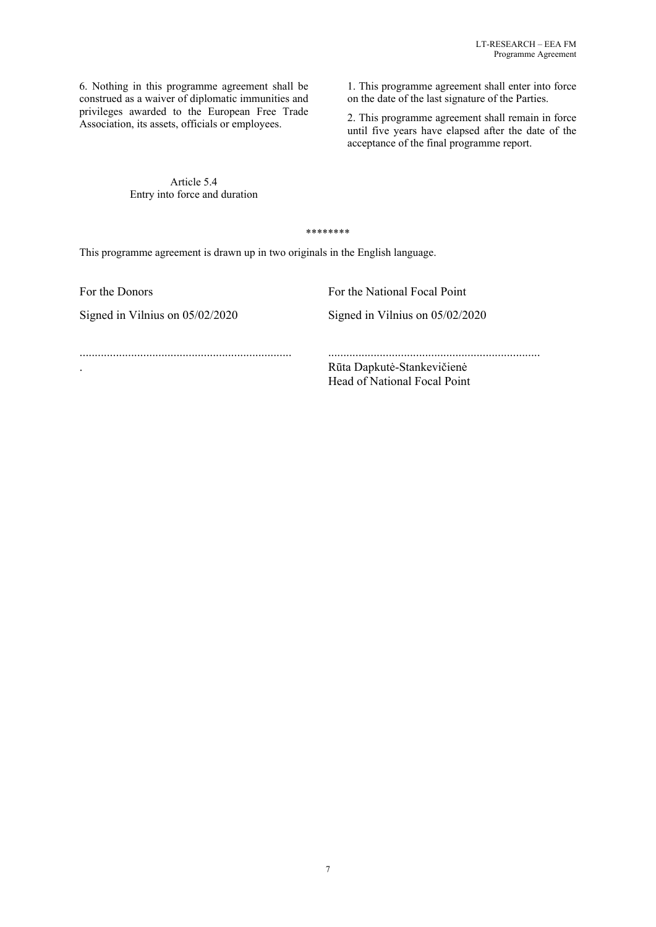6. Nothing in this programme agreement shall be construed as a waiver of diplomatic immunities and privileges awarded to the European Free Trade Association, its assets, officials or employees.

> Article 5.4 Entry into force and duration

1. This programme agreement shall enter into force on the date of the last signature of the Parties.

2. This programme agreement shall remain in force until five years have elapsed after the date of the acceptance of the final programme report.

\*\*\*\*\*\*\*\*

This programme agreement is drawn up in two originals in the English language.

Signed in Vilnius on 05/02/2020 Signed in Vilnius on 05/02/2020

For the Donors **For the National Focal Point** 

...................................................................... ......................................................................

. Rūta Dapkutė-Stankevičienė Head of National Focal Point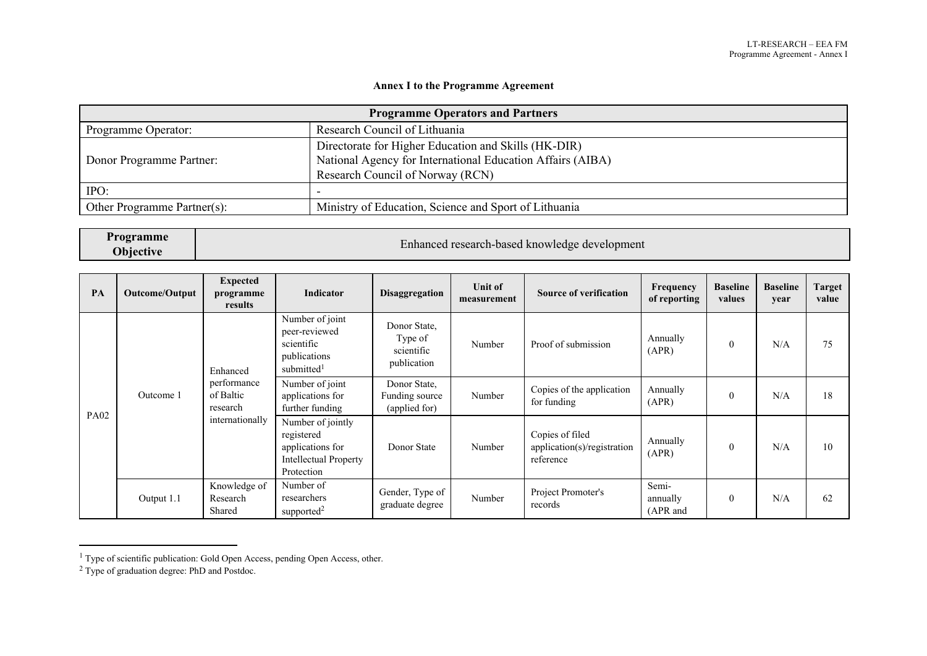# **Annex I to the Programme Agreement**

| <b>Programme Operators and Partners</b>                                              |                                                            |  |  |
|--------------------------------------------------------------------------------------|------------------------------------------------------------|--|--|
| Programme Operator:                                                                  | Research Council of Lithuania                              |  |  |
| Directorate for Higher Education and Skills (HK-DIR)                                 |                                                            |  |  |
| Donor Programme Partner:                                                             | National Agency for International Education Affairs (AIBA) |  |  |
|                                                                                      | Research Council of Norway (RCN)                           |  |  |
| IPO:                                                                                 |                                                            |  |  |
| Ministry of Education, Science and Sport of Lithuania<br>Other Programme Partner(s): |                                                            |  |  |

| <b>Programme</b> | Enhanced research-based knowledge development |
|------------------|-----------------------------------------------|
| <b>Objective</b> |                                               |

| PA          | Outcome/Output                                                                   | <b>Expected</b><br>programme<br>results                                                                                                                                                                     | Indicator                                            | Disaggregation                                              | Unit of<br>measurement | <b>Source of verification</b>            | Frequency<br>of reporting     | <b>Baseline</b><br>values | <b>Baseline</b><br>year | Target<br>value |
|-------------|----------------------------------------------------------------------------------|-------------------------------------------------------------------------------------------------------------------------------------------------------------------------------------------------------------|------------------------------------------------------|-------------------------------------------------------------|------------------------|------------------------------------------|-------------------------------|---------------------------|-------------------------|-----------------|
| <b>PA02</b> | Enhanced<br>performance<br>of Baltic<br>Outcome 1<br>research<br>internationally | Number of joint<br>peer-reviewed<br>scientific<br>publications<br>submitted <sup>1</sup>                                                                                                                    | Donor State,<br>Type of<br>scientific<br>publication | Number                                                      | Proof of submission    | Annually<br>(APR)                        | $\theta$                      | N/A                       | 75                      |                 |
|             |                                                                                  | Number of joint<br>Donor State,<br>applications for<br>further funding<br>(applied for)<br>Number of jointly<br>registered<br>applications for<br>Donor State<br><b>Intellectual Property</b><br>Protection |                                                      | Funding source                                              | Number                 | Copies of the application<br>for funding | Annually<br>(APR)             | $\theta$                  | N/A                     | 18              |
|             |                                                                                  |                                                                                                                                                                                                             | Number                                               | Copies of filed<br>application(s)/registration<br>reference | Annually<br>(APR)      | $\theta$                                 | N/A                           | 10                        |                         |                 |
|             | Output 1.1                                                                       | Knowledge of<br>Research<br>Shared                                                                                                                                                                          | Number of<br>researchers<br>supported <sup>2</sup>   | Gender, Type of<br>graduate degree                          | Number                 | Project Promoter's<br>records            | Semi-<br>annually<br>(APR and | $\theta$                  | N/A                     | 62              |

<sup>&</sup>lt;sup>1</sup> Type of scientific publication: Gold Open Access, pending Open Access, other.

<sup>&</sup>lt;sup>2</sup> Type of graduation degree: PhD and Postdoc.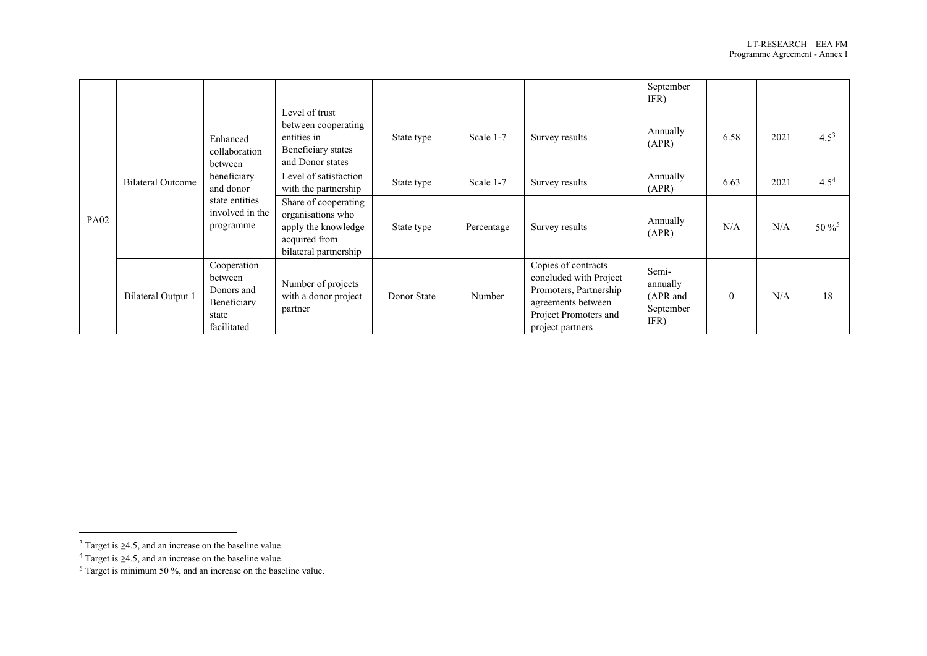|             |                                                                                                                                         |                                                                                                |                                                                                                            |             |                |                                                                                                                                            | September<br>IFR)                                  |          |           |            |
|-------------|-----------------------------------------------------------------------------------------------------------------------------------------|------------------------------------------------------------------------------------------------|------------------------------------------------------------------------------------------------------------|-------------|----------------|--------------------------------------------------------------------------------------------------------------------------------------------|----------------------------------------------------|----------|-----------|------------|
| <b>PA02</b> | Enhanced<br>collaboration<br>between<br>beneficiary<br>Bilateral Outcome<br>and donor<br>state entities<br>involved in the<br>programme | Level of trust<br>between cooperating<br>entities in<br>Beneficiary states<br>and Donor states | State type                                                                                                 | Scale 1-7   | Survey results | Annually<br>(APR)                                                                                                                          | 6.58                                               | 2021     | $4.5^{3}$ |            |
|             |                                                                                                                                         |                                                                                                | Level of satisfaction<br>with the partnership                                                              | State type  | Scale 1-7      | Survey results                                                                                                                             | Annually<br>(APR)                                  | 6.63     | 2021      | $4.5^{4}$  |
|             |                                                                                                                                         |                                                                                                | Share of cooperating<br>organisations who<br>apply the knowledge<br>acquired from<br>bilateral partnership | State type  | Percentage     | Survey results                                                                                                                             | Annually<br>(APR)                                  | N/A      | N/A       | $50\,\%^5$ |
|             | <b>Bilateral Output 1</b>                                                                                                               | Cooperation<br>between<br>Donors and<br>Beneficiary<br>state<br>facilitated                    | Number of projects<br>with a donor project<br>partner                                                      | Donor State | Number         | Copies of contracts<br>concluded with Project<br>Promoters, Partnership<br>agreements between<br>Project Promoters and<br>project partners | Semi-<br>annually<br>(APR and<br>September<br>IFR) | $\theta$ | N/A       | 18         |

 $3$  Target is  $\geq$ 4.5, and an increase on the baseline value.

 $4$  Target is  $\geq$ 4.5, and an increase on the baseline value.

 $5$  Target is minimum 50 %, and an increase on the baseline value.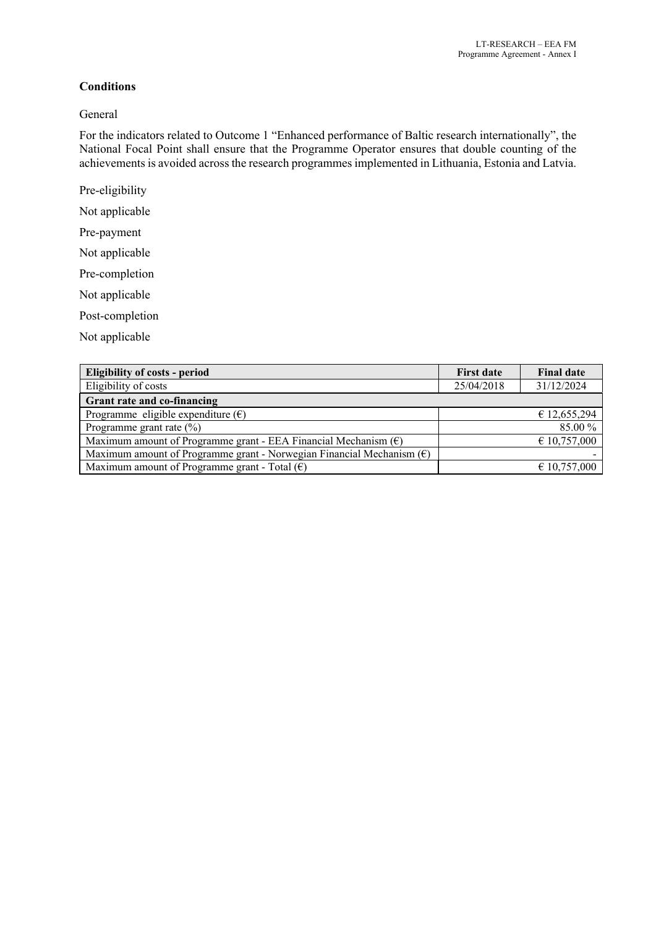# **Conditions**

# General

For the indicators related to Outcome 1 "Enhanced performance of Baltic research internationally", the National Focal Point shall ensure that the Programme Operator ensures that double counting of the achievements is avoided across the research programmes implemented in Lithuania, Estonia and Latvia.

- Pre-eligibility
- Not applicable
- Pre-payment
- Not applicable
- Pre-completion
- Not applicable
- Post-completion
- Not applicable

| <b>Eligibility of costs - period</b>                                           | <b>First date</b> | <b>Final date</b>     |
|--------------------------------------------------------------------------------|-------------------|-----------------------|
| Eligibility of costs                                                           | 25/04/2018        | 31/12/2024            |
| Grant rate and co-financing                                                    |                   |                       |
| Programme eligible expenditure $(\epsilon)$                                    |                   | £ 12,655,294          |
| Programme grant rate $(\%)$                                                    |                   | 85.00 %               |
| Maximum amount of Programme grant - EEA Financial Mechanism $(\epsilon)$       |                   | $\epsilon$ 10,757,000 |
| Maximum amount of Programme grant - Norwegian Financial Mechanism $(\epsilon)$ |                   |                       |
| Maximum amount of Programme grant - Total $(\epsilon)$                         |                   | € 10,757,000          |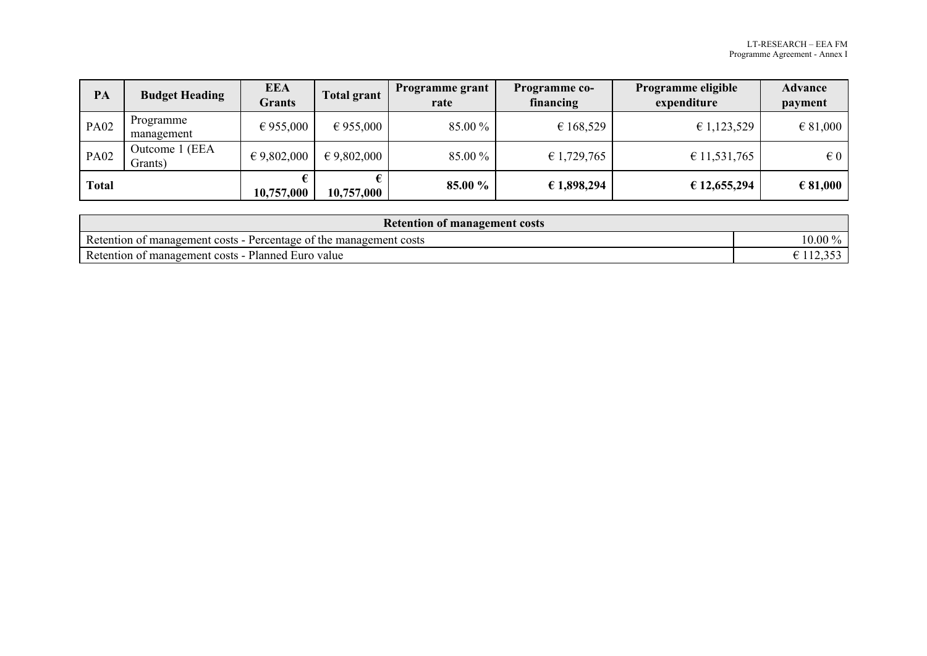| PA           | <b>Budget Heading</b>     | <b>EEA</b><br><b>Grants</b> | Total grant          | <b>Programme grant</b><br>rate | <b>Programme co-</b><br>financing | <b>Programme eligible</b><br>expenditure | <b>Advance</b><br>payment |
|--------------|---------------------------|-----------------------------|----------------------|--------------------------------|-----------------------------------|------------------------------------------|---------------------------|
| <b>PA02</b>  | Programme<br>management   | € 955,000                   | $\epsilon$ 955,000   | 85.00 %                        | € 168,529                         | £ 1,123,529                              | $\epsilon$ 81,000         |
| <b>PA02</b>  | Outcome 1 (EEA<br>Grants) | $\epsilon$ 9,802,000        | $\epsilon$ 9,802,000 | 85.00 %                        | € 1,729,765                       | € 11,531,765                             | $\epsilon$ 0              |
| <b>Total</b> |                           | 10,757,000                  | 10,757,000           | 85.00 %                        | € 1,898,294                       | € 12,655,294                             | € 81,000                  |

| <b>Retention of management costs</b>                               |         |  |  |  |
|--------------------------------------------------------------------|---------|--|--|--|
| Retention of management costs - Percentage of the management costs | 10.00 % |  |  |  |
| Retention of management costs - Planned Euro value                 |         |  |  |  |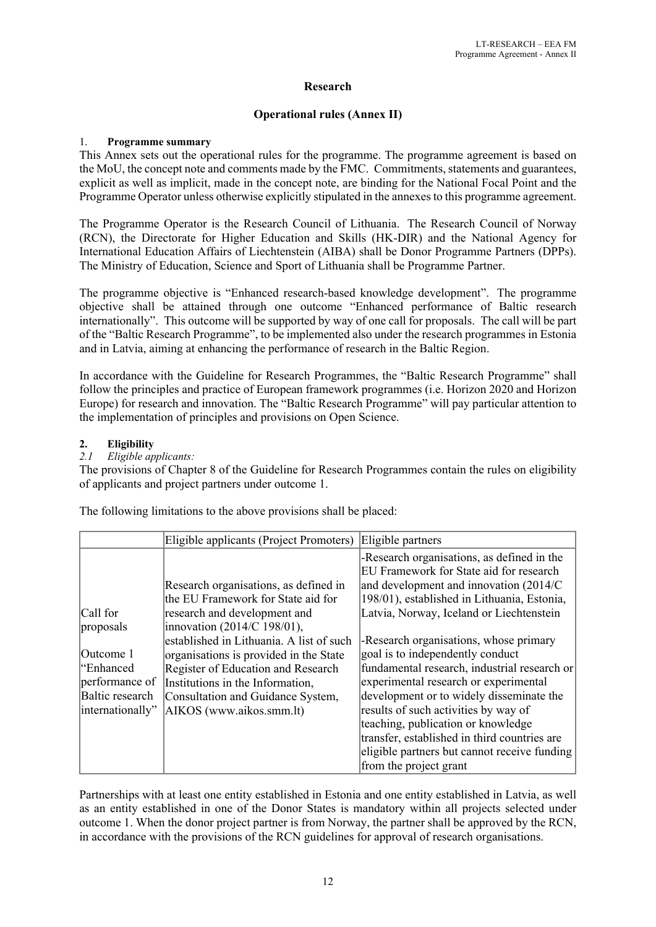# **Research**

# **Operational rules (Annex II)**

# 1. **Programme summary**

This Annex sets out the operational rules for the programme. The programme agreement is based on the MoU, the concept note and comments made by the FMC. Commitments, statements and guarantees, explicit as well as implicit, made in the concept note, are binding for the National Focal Point and the Programme Operator unless otherwise explicitly stipulated in the annexes to this programme agreement.

The Programme Operator is the Research Council of Lithuania. The Research Council of Norway (RCN), the Directorate for Higher Education and Skills (HK-DIR) and the National Agency for International Education Affairs of Liechtenstein (AIBA) shall be Donor Programme Partners (DPPs). The Ministry of Education, Science and Sport of Lithuania shall be Programme Partner.

The programme objective is "Enhanced research-based knowledge development". The programme objective shall be attained through one outcome "Enhanced performance of Baltic research internationally". This outcome will be supported by way of one call for proposals. The call will be part of the "Baltic Research Programme", to be implemented also under the research programmes in Estonia and in Latvia, aiming at enhancing the performance of research in the Baltic Region.

In accordance with the Guideline for Research Programmes, the "Baltic Research Programme" shall follow the principles and practice of European framework programmes (i.e. Horizon 2020 and Horizon Europe) for research and innovation. The "Baltic Research Programme" will pay particular attention to the implementation of principles and provisions on Open Science.

# **2. Eligibility**

# *2.1 Eligible applicants:*

The provisions of Chapter 8 of the Guideline for Research Programmes contain the rules on eligibility of applicants and project partners under outcome 1.

The following limitations to the above provisions shall be placed:

|                                                                                               | Eligible applicants (Project Promoters)                                                                                                                                                                                                                      | Eligible partners                                                                                                                                                                                                                                                                                                                                                                                                       |
|-----------------------------------------------------------------------------------------------|--------------------------------------------------------------------------------------------------------------------------------------------------------------------------------------------------------------------------------------------------------------|-------------------------------------------------------------------------------------------------------------------------------------------------------------------------------------------------------------------------------------------------------------------------------------------------------------------------------------------------------------------------------------------------------------------------|
| Call for                                                                                      | Research organisations, as defined in<br>the EU Framework for State aid for<br>research and development and                                                                                                                                                  | -Research organisations, as defined in the<br>EU Framework for State aid for research<br>and development and innovation (2014/C)<br>198/01), established in Lithuania, Estonia,<br>Latvia, Norway, Iceland or Liechtenstein                                                                                                                                                                                             |
| proposals<br>Outcome 1<br>l"Enhanced<br>performance of<br>Baltic research<br>internationally" | innovation (2014/C 198/01),<br>established in Lithuania. A list of such<br>organisations is provided in the State<br>Register of Education and Research<br>Institutions in the Information,<br>Consultation and Guidance System,<br>AIKOS (www.aikos.smm.lt) | -Research organisations, whose primary<br>goal is to independently conduct<br>fundamental research, industrial research or<br>experimental research or experimental<br>development or to widely disseminate the<br>results of such activities by way of<br>teaching, publication or knowledge<br>transfer, established in third countries are<br>eligible partners but cannot receive funding<br>from the project grant |

Partnerships with at least one entity established in Estonia and one entity established in Latvia, as well as an entity established in one of the Donor States is mandatory within all projects selected under outcome 1. When the donor project partner is from Norway, the partner shall be approved by the RCN, in accordance with the provisions of the RCN guidelines for approval of research organisations.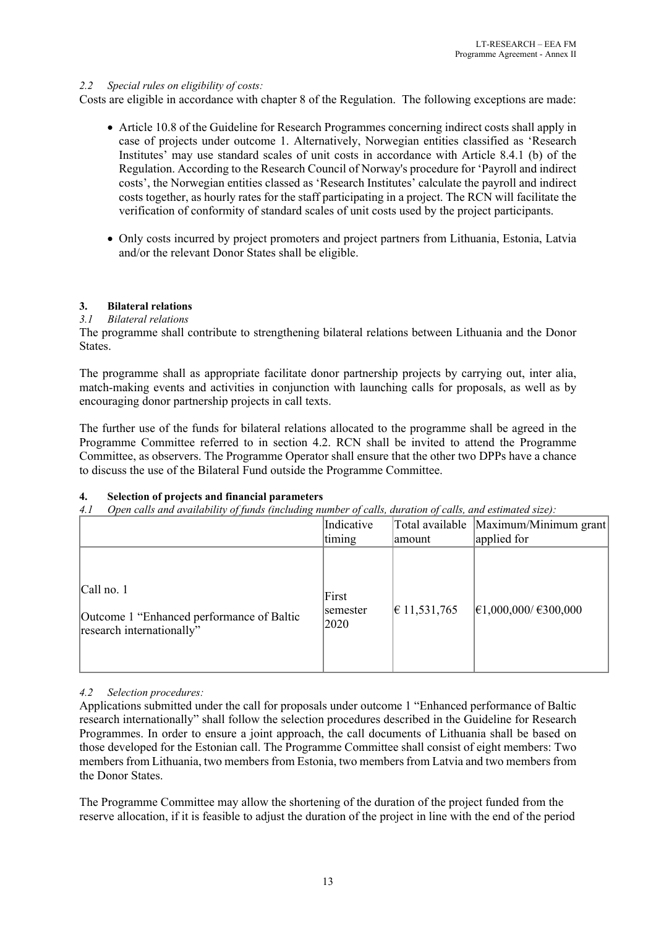# *2.2 Special rules on eligibility of costs:*

Costs are eligible in accordance with chapter 8 of the Regulation. The following exceptions are made:

- Article 10.8 of the Guideline for Research Programmes concerning indirect costs shall apply in case of projects under outcome 1. Alternatively, Norwegian entities classified as 'Research Institutes' may use standard scales of unit costs in accordance with Article 8.4.1 (b) of the Regulation. According to the Research Council of Norway's procedure for 'Payroll and indirect costs', the Norwegian entities classed as 'Research Institutes' calculate the payroll and indirect costs together, as hourly rates for the staff participating in a project. The RCN will facilitate the verification of conformity of standard scales of unit costs used by the project participants.
- Only costs incurred by project promoters and project partners from Lithuania, Estonia, Latvia and/or the relevant Donor States shall be eligible.

# **3. Bilateral relations**

### *3.1 Bilateral relations*

The programme shall contribute to strengthening bilateral relations between Lithuania and the Donor States.

The programme shall as appropriate facilitate donor partnership projects by carrying out, inter alia, match-making events and activities in conjunction with launching calls for proposals, as well as by encouraging donor partnership projects in call texts.

The further use of the funds for bilateral relations allocated to the programme shall be agreed in the Programme Committee referred to in section 4.2. RCN shall be invited to attend the Programme Committee, as observers. The Programme Operator shall ensure that the other two DPPs have a chance to discuss the use of the Bilateral Fund outside the Programme Committee.

# **4. Selection of projects and financial parameters**

*4.1 Open calls and availability of funds (including number of calls, duration of calls, and estimated size):*

|                                                                                         | Indicative<br>timing      | amount                 | Total available  Maximum/Minimum grant <br>applied for |
|-----------------------------------------------------------------------------------------|---------------------------|------------------------|--------------------------------------------------------|
| $ Call$ no. 1<br>Outcome 1 "Enhanced performance of Baltic<br>research internationally" | First<br>semester<br>2020 | $ \epsilon$ 11,531,765 | $ \epsilon$ 1,000,000/ €300,000                        |

# *4.2 Selection procedures:*

Applications submitted under the call for proposals under outcome 1 "Enhanced performance of Baltic research internationally" shall follow the selection procedures described in the Guideline for Research Programmes. In order to ensure a joint approach, the call documents of Lithuania shall be based on those developed for the Estonian call. The Programme Committee shall consist of eight members: Two members from Lithuania, two members from Estonia, two members from Latvia and two members from the Donor States.

The Programme Committee may allow the shortening of the duration of the project funded from the reserve allocation, if it is feasible to adjust the duration of the project in line with the end of the period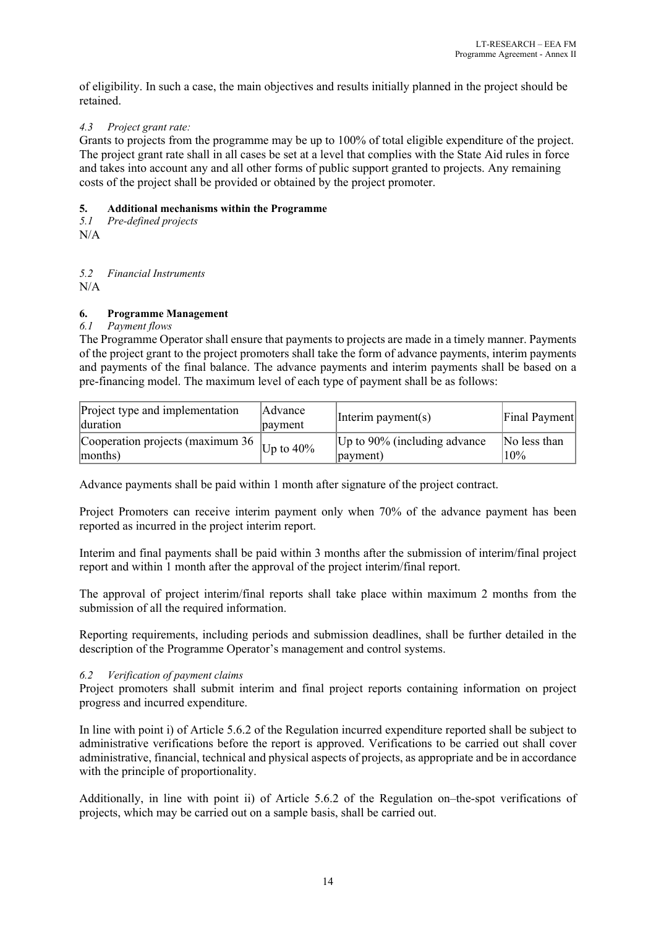of eligibility. In such a case, the main objectives and results initially planned in the project should be retained.

# *4.3 Project grant rate:*

Grants to projects from the programme may be up to 100% of total eligible expenditure of the project. The project grant rate shall in all cases be set at a level that complies with the State Aid rules in force and takes into account any and all other forms of public support granted to projects. Any remaining costs of the project shall be provided or obtained by the project promoter.

# **5. Additional mechanisms within the Programme**

*5.1 Pre-defined projects*

N/A

*5.2 Financial Instruments*

 $N/A$ 

# **6. Programme Management**

# *6.1 Payment flows*

The Programme Operator shall ensure that payments to projects are made in a timely manner. Payments of the project grant to the project promoters shall take the form of advance payments, interim payments and payments of the final balance. The advance payments and interim payments shall be based on a pre-financing model. The maximum level of each type of payment shall be as follows:

| Project type and implementation<br>duration         | Advance <br>payment | Interim payment(s)              | Final Payment |
|-----------------------------------------------------|---------------------|---------------------------------|---------------|
| Cooperation projects (maximum 36 $ _{Up \to 40\%} $ |                     | Up to $90\%$ (including advance | No less than  |
| months)                                             |                     | $ $ payment $ $                 | 10%           |

Advance payments shall be paid within 1 month after signature of the project contract.

Project Promoters can receive interim payment only when 70% of the advance payment has been reported as incurred in the project interim report.

Interim and final payments shall be paid within 3 months after the submission of interim/final project report and within 1 month after the approval of the project interim/final report.

The approval of project interim/final reports shall take place within maximum 2 months from the submission of all the required information.

Reporting requirements, including periods and submission deadlines, shall be further detailed in the description of the Programme Operator's management and control systems.

# *6.2 Verification of payment claims*

Project promoters shall submit interim and final project reports containing information on project progress and incurred expenditure.

In line with point i) of Article 5.6.2 of the Regulation incurred expenditure reported shall be subject to administrative verifications before the report is approved. Verifications to be carried out shall cover administrative, financial, technical and physical aspects of projects, as appropriate and be in accordance with the principle of proportionality.

Additionally, in line with point ii) of Article 5.6.2 of the Regulation on–the-spot verifications of projects, which may be carried out on a sample basis, shall be carried out.